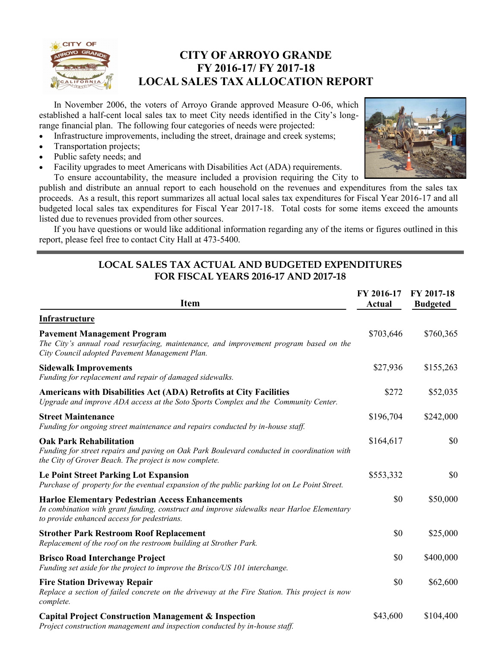

### **CITY OF ARROYO GRANDE FY 2016-17/ FY 2017-18 LOCAL SALES TAX ALLOCATION REPORT**

In November 2006, the voters of Arroyo Grande approved Measure O-06, which established a half-cent local sales tax to meet City needs identified in the City's longrange financial plan. The following four categories of needs were projected:

- Infrastructure improvements, including the street, drainage and creek systems;
- Transportation projects;
- Public safety needs; and
- Facility upgrades to meet Americans with Disabilities Act (ADA) requirements.



To ensure accountability, the measure included a provision requiring the City to publish and distribute an annual report to each household on the revenues and expenditures from the sales tax proceeds. As a result, this report summarizes all actual local sales tax expenditures for Fiscal Year 2016-17 and all budgeted local sales tax expenditures for Fiscal Year 2017-18. Total costs for some items exceed the amounts listed due to revenues provided from other sources.

If you have questions or would like additional information regarding any of the items or figures outlined in this report, please feel free to contact City Hall at 473-5400.

### **LOCAL SALES TAX ACTUAL AND BUDGETED EXPENDITURES FOR FISCAL YEARS 2016-17 AND 2017-18**

| <b>Item</b>                                                                                                                                                                                         | FY 2016-17<br><b>Actual</b> | FY 2017-18<br><b>Budgeted</b> |
|-----------------------------------------------------------------------------------------------------------------------------------------------------------------------------------------------------|-----------------------------|-------------------------------|
| <b>Infrastructure</b>                                                                                                                                                                               |                             |                               |
| <b>Pavement Management Program</b><br>The City's annual road resurfacing, maintenance, and improvement program based on the<br>City Council adopted Pavement Management Plan.                       | \$703,646                   | \$760,365                     |
| <b>Sidewalk Improvements</b><br>Funding for replacement and repair of damaged sidewalks.                                                                                                            | \$27,936                    | \$155,263                     |
| Americans with Disabilities Act (ADA) Retrofits at City Facilities<br>Upgrade and improve ADA access at the Soto Sports Complex and the Community Center.                                           | \$272                       | \$52,035                      |
| <b>Street Maintenance</b><br>Funding for ongoing street maintenance and repairs conducted by in-house staff.                                                                                        | \$196,704                   | \$242,000                     |
| <b>Oak Park Rehabilitation</b><br>Funding for street repairs and paving on Oak Park Boulevard conducted in coordination with<br>the City of Grover Beach. The project is now complete.              | \$164,617                   | \$0                           |
| <b>Le Point Street Parking Lot Expansion</b><br>Purchase of property for the eventual expansion of the public parking lot on Le Point Street.                                                       | \$553,332                   | \$0                           |
| <b>Harloe Elementary Pedestrian Access Enhancements</b><br>In combination with grant funding, construct and improve sidewalks near Harloe Elementary<br>to provide enhanced access for pedestrians. | \$0                         | \$50,000                      |
| <b>Strother Park Restroom Roof Replacement</b><br>Replacement of the roof on the restroom building at Strother Park.                                                                                | \$0                         | \$25,000                      |
| <b>Brisco Road Interchange Project</b><br>Funding set aside for the project to improve the Brisco/US 101 interchange.                                                                               | \$0                         | \$400,000                     |
| <b>Fire Station Driveway Repair</b><br>Replace a section of failed concrete on the driveway at the Fire Station. This project is now<br>complete.                                                   | \$0                         | \$62,600                      |
| <b>Capital Project Construction Management &amp; Inspection</b><br>Project construction management and inspection conducted by in-house staff.                                                      | \$43,600                    | \$104,400                     |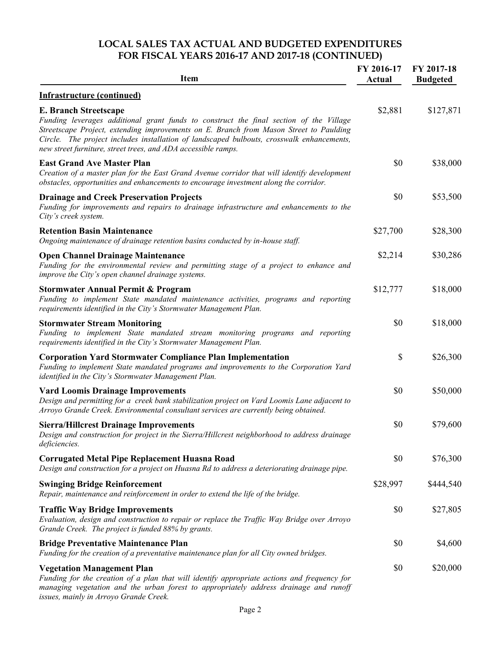#### **LOCAL SALES TAX ACTUAL AND BUDGETED EXPENDITURES FOR FISCAL YEARS 2016-17 AND 2017-18 (CONTINUED)**

| <b>Item</b>                                                                                                                                                                                                                                                                                                                                                                    | FY 2016-17<br>Actual | FY 2017-18<br><b>Budgeted</b> |
|--------------------------------------------------------------------------------------------------------------------------------------------------------------------------------------------------------------------------------------------------------------------------------------------------------------------------------------------------------------------------------|----------------------|-------------------------------|
| <b>Infrastructure (continued)</b>                                                                                                                                                                                                                                                                                                                                              |                      |                               |
| <b>E. Branch Streetscape</b><br>Funding leverages additional grant funds to construct the final section of the Village<br>Streetscape Project, extending improvements on E. Branch from Mason Street to Paulding<br>Circle. The project includes installation of landscaped bulbouts, crosswalk enhancements,<br>new street furniture, street trees, and ADA accessible ramps. | \$2,881              | \$127,871                     |
| <b>East Grand Ave Master Plan</b><br>Creation of a master plan for the East Grand Avenue corridor that will identify development<br>obstacles, opportunities and enhancements to encourage investment along the corridor.                                                                                                                                                      | \$0                  | \$38,000                      |
| <b>Drainage and Creek Preservation Projects</b><br>Funding for improvements and repairs to drainage infrastructure and enhancements to the<br>City's creek system.                                                                                                                                                                                                             | \$0                  | \$53,500                      |
| <b>Retention Basin Maintenance</b><br>Ongoing maintenance of drainage retention basins conducted by in-house staff.                                                                                                                                                                                                                                                            | \$27,700             | \$28,300                      |
| <b>Open Channel Drainage Maintenance</b><br>Funding for the environmental review and permitting stage of a project to enhance and<br>improve the City's open channel drainage systems.                                                                                                                                                                                         | \$2,214              | \$30,286                      |
| <b>Stormwater Annual Permit &amp; Program</b><br>Funding to implement State mandated maintenance activities, programs and reporting<br>requirements identified in the City's Stormwater Management Plan.                                                                                                                                                                       | \$12,777             | \$18,000                      |
| <b>Stormwater Stream Monitoring</b><br>Funding to implement State mandated stream monitoring programs and reporting<br>requirements identified in the City's Stormwater Management Plan.                                                                                                                                                                                       | \$0                  | \$18,000                      |
| <b>Corporation Yard Stormwater Compliance Plan Implementation</b><br>Funding to implement State mandated programs and improvements to the Corporation Yard<br>identified in the City's Stormwater Management Plan.                                                                                                                                                             | \$                   | \$26,300                      |
| <b>Vard Loomis Drainage Improvements</b><br>Design and permitting for a creek bank stabilization project on Vard Loomis Lane adjacent to<br>Arroyo Grande Creek. Environmental consultant services are currently being obtained.                                                                                                                                               | \$0                  | \$50,000                      |
| <b>Sierra/Hillcrest Drainage Improvements</b><br>Design and construction for project in the Sierra/Hillcrest neighborhood to address drainage<br>deficiencies.                                                                                                                                                                                                                 | \$0                  | \$79,600                      |
| <b>Corrugated Metal Pipe Replacement Huasna Road</b><br>Design and construction for a project on Huasna Rd to address a deteriorating drainage pipe.                                                                                                                                                                                                                           | \$0                  | \$76,300                      |
| <b>Swinging Bridge Reinforcement</b><br>Repair, maintenance and reinforcement in order to extend the life of the bridge.                                                                                                                                                                                                                                                       | \$28,997             | \$444,540                     |
| <b>Traffic Way Bridge Improvements</b><br>Evaluation, design and construction to repair or replace the Traffic Way Bridge over Arroyo<br>Grande Creek. The project is funded 88% by grants.                                                                                                                                                                                    | \$0                  | \$27,805                      |
| <b>Bridge Preventative Maintenance Plan</b><br>Funding for the creation of a preventative maintenance plan for all City owned bridges.                                                                                                                                                                                                                                         | \$0                  | \$4,600                       |
| <b>Vegetation Management Plan</b><br>Funding for the creation of a plan that will identify appropriate actions and frequency for<br>managing vegetation and the urban forest to appropriately address drainage and runoff<br>issues, mainly in Arroyo Grande Creek.                                                                                                            | \$0                  | \$20,000                      |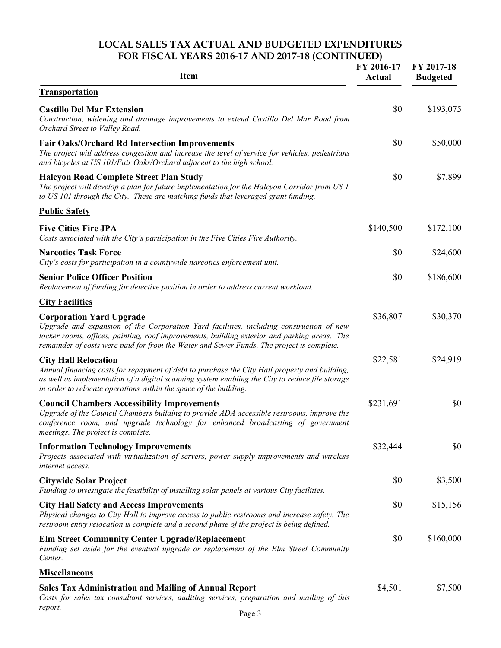### **LOCAL SALES TAX ACTUAL AND BUDGETED EXPENDITURES FOR FISCAL YEARS 2016-17 AND 2017-18 (CONTINUED)**

| <b>Item</b>                                                                                                                                                                                                                                                                                                             | FY 2016-17<br><b>Actual</b> | FY 2017-18<br><b>Budgeted</b> |
|-------------------------------------------------------------------------------------------------------------------------------------------------------------------------------------------------------------------------------------------------------------------------------------------------------------------------|-----------------------------|-------------------------------|
| <b>Transportation</b>                                                                                                                                                                                                                                                                                                   |                             |                               |
| <b>Castillo Del Mar Extension</b><br>Construction, widening and drainage improvements to extend Castillo Del Mar Road from<br>Orchard Street to Valley Road.                                                                                                                                                            | \$0                         | \$193,075                     |
| <b>Fair Oaks/Orchard Rd Intersection Improvements</b><br>The project will address congestion and increase the level of service for vehicles, pedestrians<br>and bicycles at US 101/Fair Oaks/Orchard adjacent to the high school.                                                                                       | \$0                         | \$50,000                      |
| <b>Halcyon Road Complete Street Plan Study</b><br>The project will develop a plan for future implementation for the Halcyon Corridor from US 1<br>to US 101 through the City. These are matching funds that leveraged grant funding.                                                                                    | \$0                         | \$7,899                       |
| <b>Public Safety</b>                                                                                                                                                                                                                                                                                                    |                             |                               |
| <b>Five Cities Fire JPA</b><br>Costs associated with the City's participation in the Five Cities Fire Authority.                                                                                                                                                                                                        | \$140,500                   | \$172,100                     |
| <b>Narcotics Task Force</b><br>City's costs for participation in a countywide narcotics enforcement unit.                                                                                                                                                                                                               | \$0                         | \$24,600                      |
| <b>Senior Police Officer Position</b><br>Replacement of funding for detective position in order to address current workload.                                                                                                                                                                                            | \$0                         | \$186,600                     |
| <b>City Facilities</b>                                                                                                                                                                                                                                                                                                  |                             |                               |
| <b>Corporation Yard Upgrade</b><br>Upgrade and expansion of the Corporation Yard facilities, including construction of new<br>locker rooms, offices, painting, roof improvements, building exterior and parking areas. The<br>remainder of costs were paid for from the Water and Sewer Funds. The project is complete. | \$36,807                    | \$30,370                      |
| <b>City Hall Relocation</b><br>Annual financing costs for repayment of debt to purchase the City Hall property and building,<br>as well as implementation of a digital scanning system enabling the City to reduce file storage<br>in order to relocate operations within the space of the building.                    | \$22,581                    | \$24,919                      |
| <b>Council Chambers Accessibility Improvements</b><br>Upgrade of the Council Chambers building to provide ADA accessible restrooms, improve the<br>conference room, and upgrade technology for enhanced broadcasting of government<br>meetings. The project is complete.                                                | \$231,691                   | \$0                           |
| <b>Information Technology Improvements</b><br>Projects associated with virtualization of servers, power supply improvements and wireless<br>internet access.                                                                                                                                                            | \$32,444                    | \$0                           |
| <b>Citywide Solar Project</b><br>Funding to investigate the feasibility of installing solar panels at various City facilities.                                                                                                                                                                                          | \$0                         | \$3,500                       |
| <b>City Hall Safety and Access Improvements</b><br>Physical changes to City Hall to improve access to public restrooms and increase safety. The<br>restroom entry relocation is complete and a second phase of the project is being defined.                                                                            | \$0                         | \$15,156                      |
| <b>Elm Street Community Center Upgrade/Replacement</b><br>Funding set aside for the eventual upgrade or replacement of the Elm Street Community<br>Center.                                                                                                                                                              | \$0                         | \$160,000                     |
| <b>Miscellaneous</b>                                                                                                                                                                                                                                                                                                    |                             |                               |
| <b>Sales Tax Administration and Mailing of Annual Report</b><br>Costs for sales tax consultant services, auditing services, preparation and mailing of this<br>report.                                                                                                                                                  | \$4,501                     | \$7,500                       |